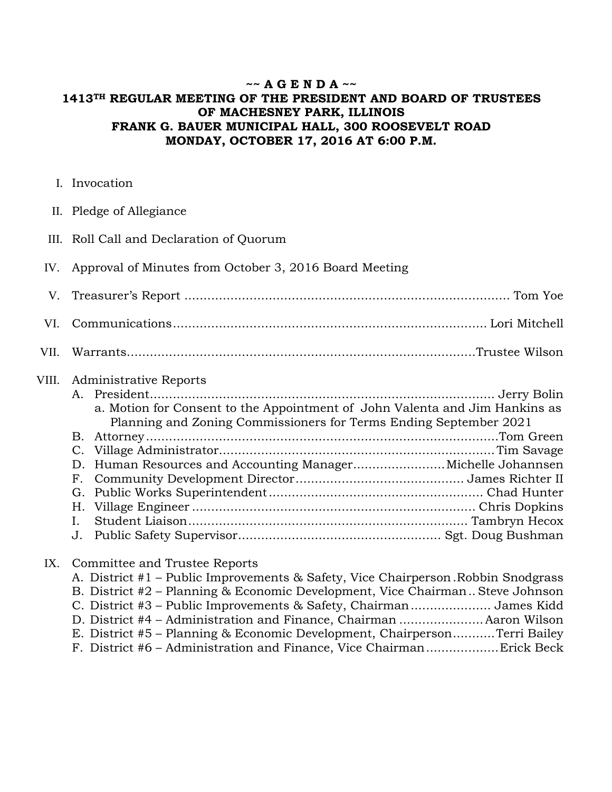## **~~ A G E N D A ~~ 1413TH REGULAR MEETING OF THE PRESIDENT AND BOARD OF TRUSTEES OF MACHESNEY PARK, ILLINOIS FRANK G. BAUER MUNICIPAL HALL, 300 ROOSEVELT ROAD MONDAY, OCTOBER 17, 2016 AT 6:00 P.M.**

I. Invocation

|  |  | II. Pledge of Allegiance |
|--|--|--------------------------|
|--|--|--------------------------|

- III. Roll Call and Declaration of Quorum
- IV. Approval of Minutes from October 3, 2016 Board Meeting

## VIII. Administrative Reports

|    | a. Motion for Consent to the Appointment of John Valenta and Jim Hankins as |  |
|----|-----------------------------------------------------------------------------|--|
|    | Planning and Zoning Commissioners for Terms Ending September 2021           |  |
|    |                                                                             |  |
|    |                                                                             |  |
|    | D. Human Resources and Accounting ManagerMichelle Johannsen                 |  |
|    |                                                                             |  |
|    |                                                                             |  |
|    |                                                                             |  |
| L. |                                                                             |  |
|    |                                                                             |  |

## IX. Committee and Trustee Reports

| A. District #1 – Public Improvements & Safety, Vice Chairperson Robbin Snodgrass |  |
|----------------------------------------------------------------------------------|--|
| B. District #2 – Planning & Economic Development, Vice Chairman Steve Johnson    |  |
| C. District #3 – Public Improvements & Safety, Chairman James Kidd               |  |
| D. District #4 - Administration and Finance, Chairman  Aaron Wilson              |  |
| E. District #5 – Planning & Economic Development, ChairpersonTerri Bailey        |  |
| F. District #6 - Administration and Finance, Vice ChairmanErick Beck             |  |